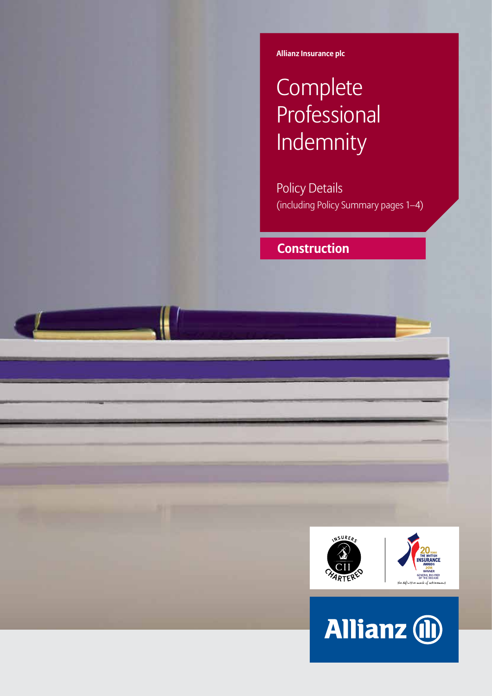**Allianz Insurance plc**

# **Complete Professional** Indemnity

Policy Details (including Policy Summary pages 1–4)

## **Construction**



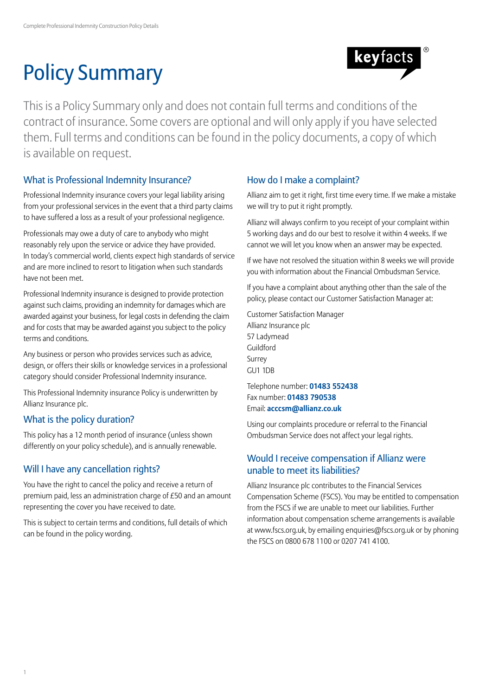# Policy Summary



This is a Policy Summary only and does not contain full terms and conditions of the contract of insurance. Some covers are optional and will only apply if you have selected them. Full terms and conditions can be found in the policy documents, a copy of which is available on request.

## What is Professional Indemnity Insurance?

Professional Indemnity insurance covers your legal liability arising from your professional services in the event that a third party claims to have suffered a loss as a result of your professional negligence.

Professionals may owe a duty of care to anybody who might reasonably rely upon the service or advice they have provided. In today's commercial world, clients expect high standards of service and are more inclined to resort to litigation when such standards have not been met.

Professional Indemnity insurance is designed to provide protection against such claims, providing an indemnity for damages which are awarded against your business, for legal costs in defending the claim and for costs that may be awarded against you subject to the policy terms and conditions.

Any business or person who provides services such as advice, design, or offers their skills or knowledge services in a professional category should consider Professional Indemnity insurance.

This Professional Indemnity insurance Policy is underwritten by Allianz Insurance plc.

## What is the policy duration?

This policy has a 12 month period of insurance (unless shown differently on your policy schedule), and is annually renewable.

## Will I have any cancellation rights?

You have the right to cancel the policy and receive a return of premium paid, less an administration charge of £50 and an amount representing the cover you have received to date.

This is subject to certain terms and conditions, full details of which can be found in the policy wording.

## How do I make a complaint?

Allianz aim to get it right, first time every time. If we make a mistake we will try to put it right promptly.

Allianz will always confirm to you receipt of your complaint within 5 working days and do our best to resolve it within 4 weeks. If we cannot we will let you know when an answer may be expected.

If we have not resolved the situation within 8 weeks we will provide you with information about the Financial Ombudsman Service.

If you have a complaint about anything other than the sale of the policy, please contact our Customer Satisfaction Manager at:

Customer Satisfaction Manager Allianz Insurance plc 57 Ladymead Guildford Surrey GU1 1DB

Telephone number: **01483 552438** Fax number: **01483 790538** Email: **acccsm@allianz.co.uk**

Using our complaints procedure or referral to the Financial Ombudsman Service does not affect your legal rights.

## Would I receive compensation if Allianz were unable to meet its liabilities?

Allianz Insurance plc contributes to the Financial Services Compensation Scheme (FSCS). You may be entitled to compensation from the FSCS if we are unable to meet our liabilities. Further information about compensation scheme arrangements is available at www.fscs.org.uk, by emailing enquiries@fscs.org.uk or by phoning the FSCS on 0800 678 1100 or 0207 741 4100.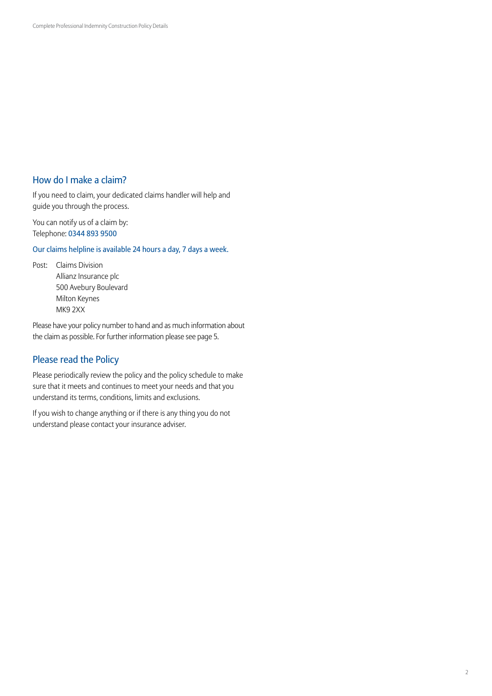## How do I make a claim?

If you need to claim, your dedicated claims handler will help and guide you through the process.

You can notify us of a claim by: Telephone: 0344 893 9500

Our claims helpline is available 24 hours a day, 7 days a week.

Post: Claims Division Allianz Insurance plc 500 Avebury Boulevard Milton Keynes MK9 2XX

Please have your policy number to hand and as much information about the claim as possible. For further information please see page 5.

### Please read the Policy

Please periodically review the policy and the policy schedule to make sure that it meets and continues to meet your needs and that you understand its terms, conditions, limits and exclusions.

If you wish to change anything or if there is any thing you do not understand please contact your insurance adviser.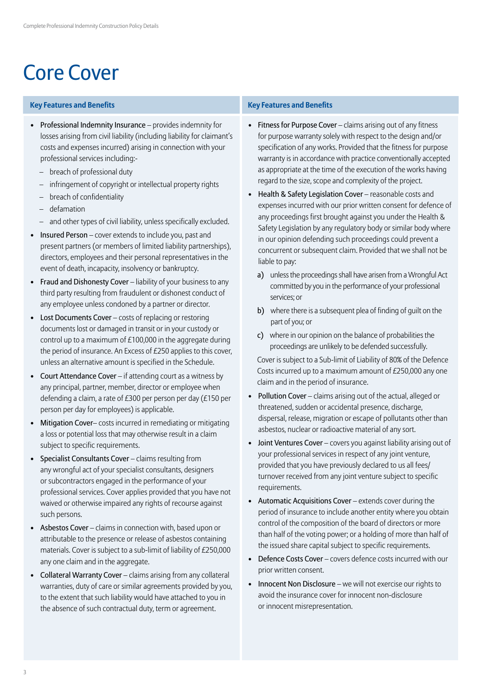## Core Cover

### **Key Features and Benefits Key Features and Benefits**

- Professional Indemnity Insurance provides indemnity for losses arising from civil liability (including liability for claimant's costs and expenses incurred) arising in connection with your professional services including:-
	- breach of professional duty
	- infringement of copyright or intellectual property rights
	- breach of confidentiality
	- defamation
	- and other types of civil liability, unless specifically excluded.
- Insured Person cover extends to include you, past and present partners (or members of limited liability partnerships), directors, employees and their personal representatives in the event of death, incapacity, insolvency or bankruptcy.
- Fraud and Dishonesty Cover liability of your business to any third party resulting from fraudulent or dishonest conduct of any employee unless condoned by a partner or director.
- Lost Documents Cover costs of replacing or restoring documents lost or damaged in transit or in your custody or control up to a maximum of £100,000 in the aggregate during the period of insurance. An Excess of £250 applies to this cover, unless an alternative amount is specified in the Schedule.
- Court Attendance Cover if attending court as a witness by any principal, partner, member, director or employee when defending a claim, a rate of £300 per person per day (£150 per person per day for employees) is applicable.
- Mitigation Cover– costs incurred in remediating or mitigating a loss or potential loss that may otherwise result in a claim subject to specific requirements.
- Specialist Consultants Cover claims resulting from any wrongful act of your specialist consultants, designers or subcontractors engaged in the performance of your professional services. Cover applies provided that you have not waived or otherwise impaired any rights of recourse against such persons.
- Asbestos Cover claims in connection with, based upon or attributable to the presence or release of asbestos containing materials. Cover is subject to a sub-limit of liability of £250,000 any one claim and in the aggregate.
- Collateral Warranty Cover claims arising from any collateral warranties, duty of care or similar agreements provided by you, to the extent that such liability would have attached to you in the absence of such contractual duty, term or agreement.

- Fitness for Purpose Cover claims arising out of any fitness for purpose warranty solely with respect to the design and/or specification of any works. Provided that the fitness for purpose warranty is in accordance with practice conventionally accepted as appropriate at the time of the execution of the works having regard to the size, scope and complexity of the project.
- Health & Safety Legislation Cover reasonable costs and expenses incurred with our prior written consent for defence of any proceedings first brought against you under the Health & Safety Legislation by any regulatory body or similar body where in our opinion defending such proceedings could prevent a concurrent or subsequent claim. Provided that we shall not be liable to pay:
	- a) unless the proceedings shall have arisen from a Wrongful Act committed by you in the performance of your professional services; or
	- b) where there is a subsequent plea of finding of guilt on the part of you; or
	- c) where in our opinion on the balance of probabilities the proceedings are unlikely to be defended successfully.

Cover is subject to a Sub-limit of Liability of 80% of the Defence Costs incurred up to a maximum amount of £250,000 any one claim and in the period of insurance.

- Pollution Cover claims arising out of the actual, alleged or threatened, sudden or accidental presence, discharge, dispersal, release, migration or escape of pollutants other than asbestos, nuclear or radioactive material of any sort.
- Joint Ventures Cover covers you against liability arising out of your professional services in respect of any joint venture, provided that you have previously declared to us all fees/ turnover received from any joint venture subject to specific requirements.
- Automatic Acquisitions Cover extends cover during the period of insurance to include another entity where you obtain control of the composition of the board of directors or more than half of the voting power; or a holding of more than half of the issued share capital subject to specific requirements.
- Defence Costs Cover covers defence costs incurred with our prior written consent.
- Innocent Non Disclosure we will not exercise our rights to avoid the insurance cover for innocent non-disclosure or innocent misrepresentation.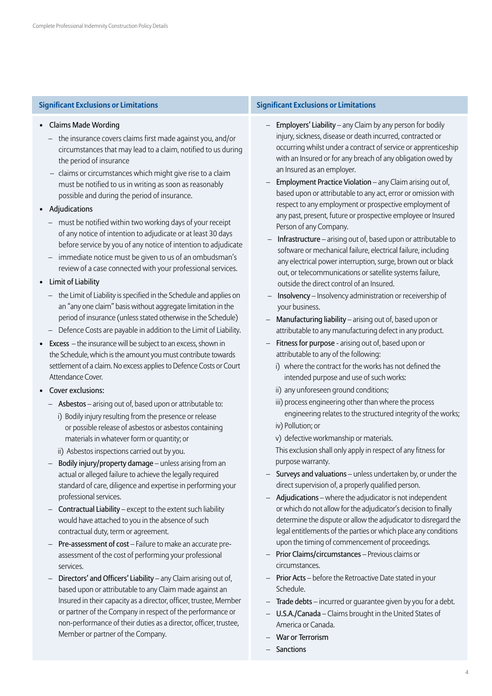- Claims Made Wording
	- the insurance covers claims first made against you, and/or circumstances that may lead to a claim, notified to us during the period of insurance
	- claims or circumstances which might give rise to a claim must be notified to us in writing as soon as reasonably possible and during the period of insurance.
- Adjudications
	- must be notified within two working days of your receipt of any notice of intention to adjudicate or at least 30 days before service by you of any notice of intention to adjudicate
	- immediate notice must be given to us of an ombudsman's review of a case connected with your professional services.
- Limit of Liability
	- the Limit of Liability is specified in the Schedule and applies on an "any one claim" basis without aggregate limitation in the period of insurance (unless stated otherwise in the Schedule)
	- Defence Costs are payable in addition to the Limit of Liability.
- Excess the insurance will be subject to an excess, shown in the Schedule, which is the amount you must contribute towards settlement of a claim. No excess applies to Defence Costs or Court Attendance Cover.
- Cover exclusions:
	- Asbestos arising out of, based upon or attributable to:
		- i) Bodily injury resulting from the presence or release or possible release of asbestos or asbestos containing materials in whatever form or quantity; or
		- ii) Asbestos inspections carried out by you.
	- Bodily injury/property damage unless arising from an actual or alleged failure to achieve the legally required standard of care, diligence and expertise in performing your professional services.
	- Contractual Liability except to the extent such liability would have attached to you in the absence of such contractual duty, term or agreement.
	- Pre-assessment of cost Failure to make an accurate preassessment of the cost of performing your professional services.
	- Directors' and Officers' Liability any Claim arising out of, based upon or attributable to any Claim made against an Insured in their capacity as a director, officer, trustee, Member or partner of the Company in respect of the performance or non-performance of their duties as a director, officer, trustee, Member or partner of the Company.

### **Significant Exclusions or Limitations Significant Exclusions or Limitations**

- Employers' Liability any Claim by any person for bodily injury, sickness, disease or death incurred, contracted or occurring whilst under a contract of service or apprenticeship with an Insured or for any breach of any obligation owed by an Insured as an employer.
- Employment Practice Violation any Claim arising out of, based upon or attributable to any act, error or omission with respect to any employment or prospective employment of any past, present, future or prospective employee or Insured Person of any Company.
- Infrastructure arising out of, based upon or attributable to software or mechanical failure, electrical failure, including any electrical power interruption, surge, brown out or black out, or telecommunications or satellite systems failure, outside the direct control of an Insured.
- Insolvency Insolvency administration or receivership of your business.
- Manufacturing liability arising out of, based upon or attributable to any manufacturing defect in any product.
- Fitness for purpose arising out of, based upon or attributable to any of the following:
	- i) where the contract for the works has not defined the intended purpose and use of such works:
	- ii) any unforeseen ground conditions;
	- iii) process engineering other than where the process engineering relates to the structured integrity of the works;
	- iv) Pollution; or
	- v) defective workmanship or materials.

This exclusion shall only apply in respect of any fitness for purpose warranty.

- Surveys and valuations unless undertaken by, or under the direct supervision of, a properly qualified person.
- Adjudications where the adjudicator is not independent or which do not allow for the adjudicator's decision to finally determine the dispute or allow the adjudicator to disregard the legal entitlements of the parties or which place any conditions upon the timing of commencement of proceedings.
- Prior Claims/circumstances Previous claims or circumstances.
- Prior Acts before the Retroactive Date stated in your Schedule.
- Trade debts incurred or guarantee given by you for a debt.
- U.S.A./Canada Claims brought in the United States of America or Canada.
- War or Terrorism
- Sanctions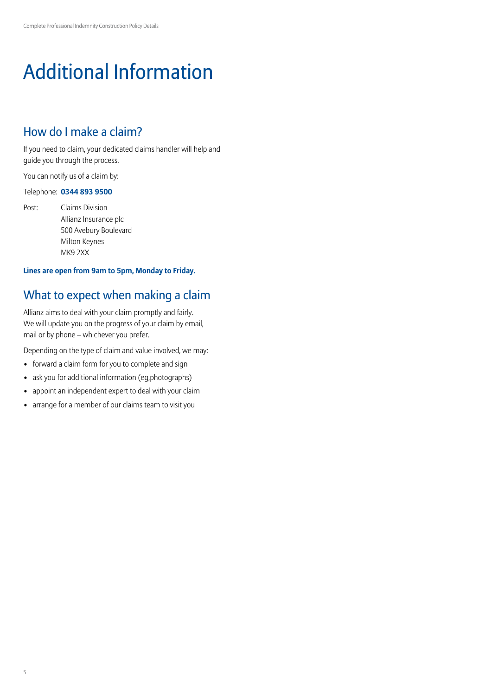# Additional Information

## How do I make a claim?

If you need to claim, your dedicated claims handler will help and guide you through the process.

You can notify us of a claim by:

### Telephone: **0344 893 9500**

Post: Claims Division Allianz Insurance plc 500 Avebury Boulevard Milton Keynes MK9 2XX

### **Lines are open from 9am to 5pm, Monday to Friday.**

## What to expect when making a claim

Allianz aims to deal with your claim promptly and fairly. We will update you on the progress of your claim by email, mail or by phone – whichever you prefer.

Depending on the type of claim and value involved, we may:

- forward a claim form for you to complete and sign
- ask you for additional information (eg,photographs)
- appoint an independent expert to deal with your claim
- arrange for a member of our claims team to visit you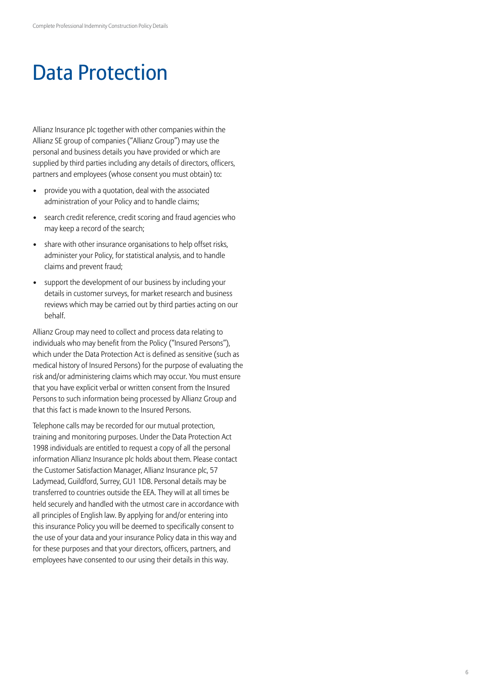## Data Protection

Allianz Insurance plc together with other companies within the Allianz SE group of companies ("Allianz Group") may use the personal and business details you have provided or which are supplied by third parties including any details of directors, officers, partners and employees (whose consent you must obtain) to:

- provide you with a quotation, deal with the associated administration of your Policy and to handle claims;
- search credit reference, credit scoring and fraud agencies who may keep a record of the search;
- share with other insurance organisations to help offset risks, administer your Policy, for statistical analysis, and to handle claims and prevent fraud;
- support the development of our business by including your details in customer surveys, for market research and business reviews which may be carried out by third parties acting on our behalf.

Allianz Group may need to collect and process data relating to individuals who may benefit from the Policy ("Insured Persons"), which under the Data Protection Act is defined as sensitive (such as medical history of Insured Persons) for the purpose of evaluating the risk and/or administering claims which may occur. You must ensure that you have explicit verbal or written consent from the Insured Persons to such information being processed by Allianz Group and that this fact is made known to the Insured Persons.

Telephone calls may be recorded for our mutual protection, training and monitoring purposes. Under the Data Protection Act 1998 individuals are entitled to request a copy of all the personal information Allianz Insurance plc holds about them. Please contact the Customer Satisfaction Manager, Allianz Insurance plc, 57 Ladymead, Guildford, Surrey, GU1 1DB. Personal details may be transferred to countries outside the EEA. They will at all times be held securely and handled with the utmost care in accordance with all principles of English law. By applying for and/or entering into this insurance Policy you will be deemed to specifically consent to the use of your data and your insurance Policy data in this way and for these purposes and that your directors, officers, partners, and employees have consented to our using their details in this way.